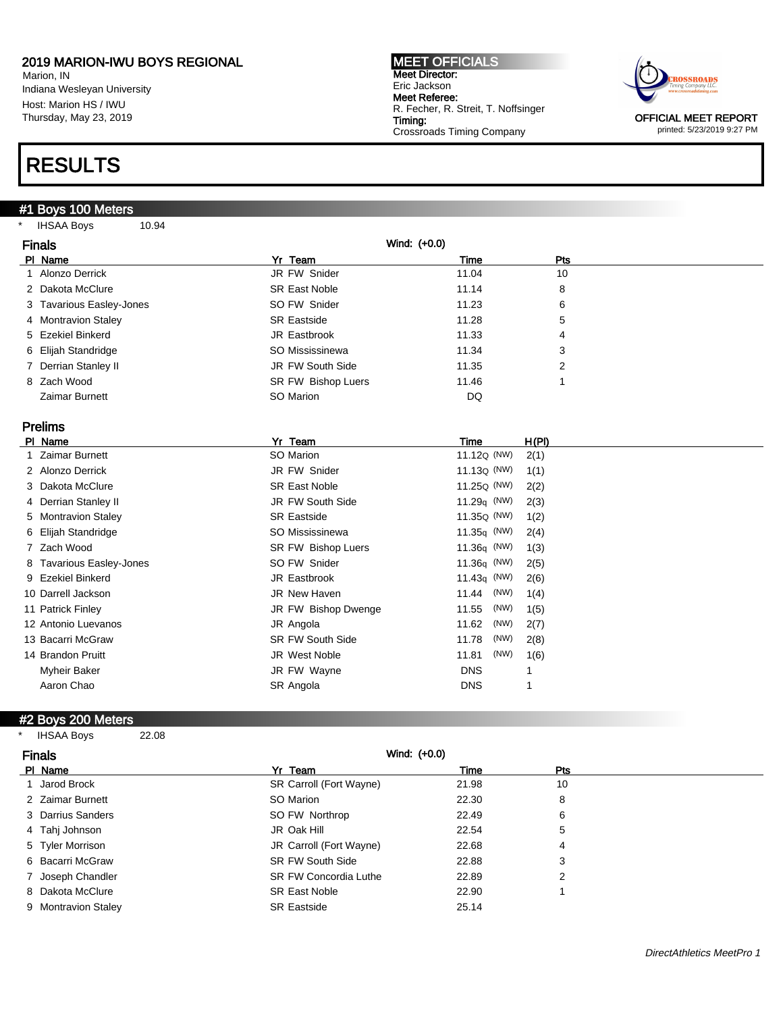Marion, IN Indiana Wesleyan University Host: Marion HS / IWU Thursday, May 23, 2019

### RESULTS

### #1 Boys 100 Meters

\* IHSAA Boys 10.94

| <b>MEET OFFICIALS</b>               |
|-------------------------------------|
| Meet Director:                      |
| Eric Jackson                        |
| Meet Referee:                       |
| R. Fecher, R. Streit, T. Noffsinger |
| Timing:                             |
| <b>Crossroads Timing Company</b>    |
|                                     |



printed: 5/23/2019 9:27 PM

| <b>Finals</b>                      | Wind: (+0.0)            |                         |                |
|------------------------------------|-------------------------|-------------------------|----------------|
| PI Name                            | Yr Team                 | Time                    | Pts            |
| Alonzo Derrick<br>1                | JR FW Snider            | 11.04                   | 10             |
| Dakota McClure<br>2                | <b>SR East Noble</b>    | 11.14                   | 8              |
| 3 Tavarious Easley-Jones           | SO FW Snider            | 11.23                   | 6              |
| 4 Montravion Staley                | <b>SR Eastside</b>      | 11.28                   | 5              |
| <b>Ezekiel Binkerd</b><br>5        | JR Eastbrook            | 11.33                   | 4              |
| Elijah Standridge<br>6             | SO Mississinewa         | 11.34                   | 3              |
| Derrian Stanley II                 | JR FW South Side        | 11.35                   | $\overline{2}$ |
| Zach Wood<br>8                     | SR FW Bishop Luers      | 11.46                   | 1              |
| Zaimar Burnett                     | SO Marion               | <b>DQ</b>               |                |
|                                    |                         |                         |                |
| <b>Prelims</b>                     |                         |                         |                |
| PI Name                            | Yr Team                 | <b>Time</b>             | H(PI)          |
| <b>Zaimar Burnett</b>              | SO Marion               | 11.12Q (NW)             | 2(1)           |
| 2 Alonzo Derrick                   | JR FW Snider            | $11.13Q$ (NW)           | 1(1)           |
| Dakota McClure<br>3                | <b>SR East Noble</b>    | 11.25 <sub>Q</sub> (NW) | 2(2)           |
| Derrian Stanley II<br>4            | JR FW South Side        | 11.29 $q$ (NW)          | 2(3)           |
| <b>Montravion Staley</b><br>5.     | <b>SR Eastside</b>      | 11.35Q (NW)             | 1(2)           |
| Elijah Standridge<br>6             | SO Mississinewa         | $11.35q$ (NW)           | 2(4)           |
| Zach Wood<br>7                     | SR FW Bishop Luers      | $11.36q$ (NW)           | 1(3)           |
| <b>Tavarious Easley-Jones</b><br>8 | SO FW Snider            | $11.36q$ (NW)           | 2(5)           |
| <b>Ezekiel Binkerd</b><br>9        | JR Eastbrook            | 11.43 $q$ (NW)          | 2(6)           |
| 10 Darrell Jackson                 | JR New Haven            | (NW)<br>11.44           | 1(4)           |
| 11 Patrick Finley                  | JR FW Bishop Dwenge     | 11.55<br>(NW)           | 1(5)           |
| 12 Antonio Luevanos                | JR Angola               | (NW)<br>11.62           | 2(7)           |
| 13 Bacarri McGraw                  | <b>SR FW South Side</b> | 11.78<br>(NW)           | 2(8)           |
| 14 Brandon Pruitt                  | JR West Noble           | (NW)<br>11.81           | 1(6)           |
| <b>Myheir Baker</b>                | JR FW Wayne             | <b>DNS</b>              | 1              |
| Aaron Chao                         | SR Angola               | <b>DNS</b>              | 1              |
|                                    |                         |                         |                |

### #2 Boys 200 Meters

| <b>IHSAA Boys</b> | 22.08 |
|-------------------|-------|
|                   |       |

| <b>Finals</b>       | Wind: $(+0.0)$               |       |            |
|---------------------|------------------------------|-------|------------|
| PI Name             | Yr Team                      | Time  | <b>Pts</b> |
| Jarod Brock         | SR Carroll (Fort Wayne)      | 21.98 | 10         |
| 2 Zaimar Burnett    | SO Marion                    | 22.30 | 8          |
| 3 Darrius Sanders   | SO FW Northrop               | 22.49 | 6          |
| 4 Tahj Johnson      | JR Oak Hill                  | 22.54 | 5          |
| 5 Tyler Morrison    | JR Carroll (Fort Wayne)      | 22.68 | 4          |
| 6 Bacarri McGraw    | <b>SR FW South Side</b>      | 22.88 | 3          |
| 7 Joseph Chandler   | <b>SR FW Concordia Luthe</b> | 22.89 | 2          |
| 8 Dakota McClure    | <b>SR East Noble</b>         | 22.90 |            |
| 9 Montravion Staley | <b>SR Eastside</b>           | 25.14 |            |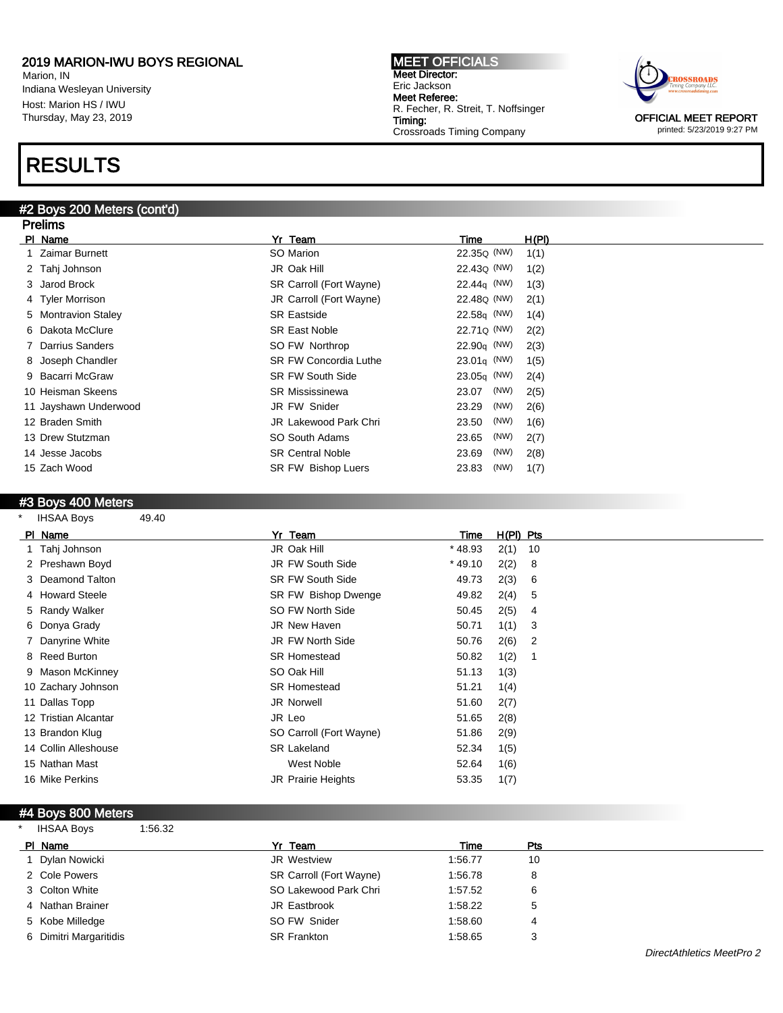Marion, IN Indiana Wesleyan University Host: Marion HS / IWU Thursday, May 23, 2019

## RESULTS

Prelims

#### #2 Boys 200 Meters (cont'd)

MEET OFFICIALS Meet Director: Eric Jackson Meet Referee: R. Fecher, R. Streit, T. Noffsinger Timing: Crossroads Timing Company



printed: 5/23/2019 9:27 PM

| Prelims                |                              |                         |       |
|------------------------|------------------------------|-------------------------|-------|
| PI Name                | Yr Team                      | Time                    | H(PI) |
| Zaimar Burnett         | SO Marion                    | 22.35 <sub>Q</sub> (NW) | 1(1)  |
| 2 Tahj Johnson         | JR Oak Hill                  | 22.43 <sub>Q</sub> (NW) | 1(2)  |
| 3 Jarod Brock          | SR Carroll (Fort Wayne)      | $22.44q$ (NW)           | 1(3)  |
| 4 Tyler Morrison       | JR Carroll (Fort Wayne)      | 22.48 <sub>Q</sub> (NW) | 2(1)  |
| 5 Montravion Staley    | <b>SR Eastside</b>           | $22.58q$ (NW)           | 1(4)  |
| 6 Dakota McClure       | <b>SR East Noble</b>         | 22.71Q (NW)             | 2(2)  |
| <b>Darrius Sanders</b> | SO FW Northrop               | $22.90q$ (NW)           | 2(3)  |
| 8 Joseph Chandler      | <b>SR FW Concordia Luthe</b> | $23.01q$ (NW)           | 1(5)  |
| 9 Bacarri McGraw       | <b>SR FW South Side</b>      | $23.05q$ (NW)           | 2(4)  |
| 10 Heisman Skeens      | <b>SR Mississinewa</b>       | (NW)<br>23.07           | 2(5)  |
| 11 Jayshawn Underwood  | JR FW Snider                 | (NW)<br>23.29           | 2(6)  |
| 12 Braden Smith        | <b>JR Lakewood Park Chri</b> | (NW)<br>23.50           | 1(6)  |
| 13 Drew Stutzman       | SO South Adams               | (NW)<br>23.65           | 2(7)  |
| 14 Jesse Jacobs        | <b>SR Central Noble</b>      | (NW)<br>23.69           | 2(8)  |
| 15 Zach Wood           | SR FW Bishop Luers           | (NW)<br>23.83           | 1(7)  |
|                        |                              |                         |       |

### #3 Boys 400 Meters

| $\star$ | <b>IHSAA Boys</b>    | 49.40 |                           |           |             |    |
|---------|----------------------|-------|---------------------------|-----------|-------------|----|
|         | PI Name              |       | Yr Team                   | Time      | $H(PI)$ Pts |    |
|         | 1 Tahj Johnson       |       | JR Oak Hill               | $*48.93$  | 2(1)        | 10 |
|         | 2 Preshawn Boyd      |       | JR FW South Side          | $*$ 49.10 | 2(2)        | 8  |
|         | 3 Deamond Talton     |       | <b>SR FW South Side</b>   | 49.73     | 2(3)        | 6  |
|         | 4 Howard Steele      |       | SR FW Bishop Dwenge       | 49.82     | 2(4)        | 5  |
|         | 5 Randy Walker       |       | SO FW North Side          | 50.45     | 2(5)        | 4  |
|         | 6 Donya Grady        |       | <b>JR New Haven</b>       | 50.71     | 1(1)        | 3  |
|         | 7 Danyrine White     |       | JR FW North Side          | 50.76     | 2(6)        | 2  |
|         | 8 Reed Burton        |       | <b>SR Homestead</b>       | 50.82     | 1(2)        |    |
|         | 9 Mason McKinney     |       | SO Oak Hill               | 51.13     | 1(3)        |    |
|         | 10 Zachary Johnson   |       | <b>SR Homestead</b>       | 51.21     | 1(4)        |    |
|         | 11 Dallas Topp       |       | JR Norwell                | 51.60     | 2(7)        |    |
|         | 12 Tristian Alcantar |       | JR Leo                    | 51.65     | 2(8)        |    |
|         | 13 Brandon Klug      |       | SO Carroll (Fort Wayne)   | 51.86     | 2(9)        |    |
|         | 14 Collin Alleshouse |       | <b>SR Lakeland</b>        | 52.34     | 1(5)        |    |
|         | 15 Nathan Mast       |       | West Noble                | 52.64     | 1(6)        |    |
|         | 16 Mike Perkins      |       | <b>JR Prairie Heights</b> | 53.35     | 1(7)        |    |
|         |                      |       |                           |           |             |    |

#### #4 Boys 800 Meters

| $\star$ | <b>IHSAA Boys</b>      | 1:56.32 |                         |         |            |  |
|---------|------------------------|---------|-------------------------|---------|------------|--|
|         | PI Name                |         | Yr Team                 | Time    | <b>Pts</b> |  |
|         | 1 Dylan Nowicki        |         | JR Westview             | 1:56.77 | 10         |  |
|         | 2 Cole Powers          |         | SR Carroll (Fort Wayne) | 1:56.78 |            |  |
|         | 3 Colton White         |         | SO Lakewood Park Chri   | 1:57.52 | 6          |  |
|         | 4 Nathan Brainer       |         | JR Eastbrook            | 1:58.22 | 5          |  |
|         | 5 Kobe Milledge        |         | SO FW Snider            | 1:58.60 | 4          |  |
|         | 6 Dimitri Margaritidis |         | <b>SR Frankton</b>      | 1:58.65 |            |  |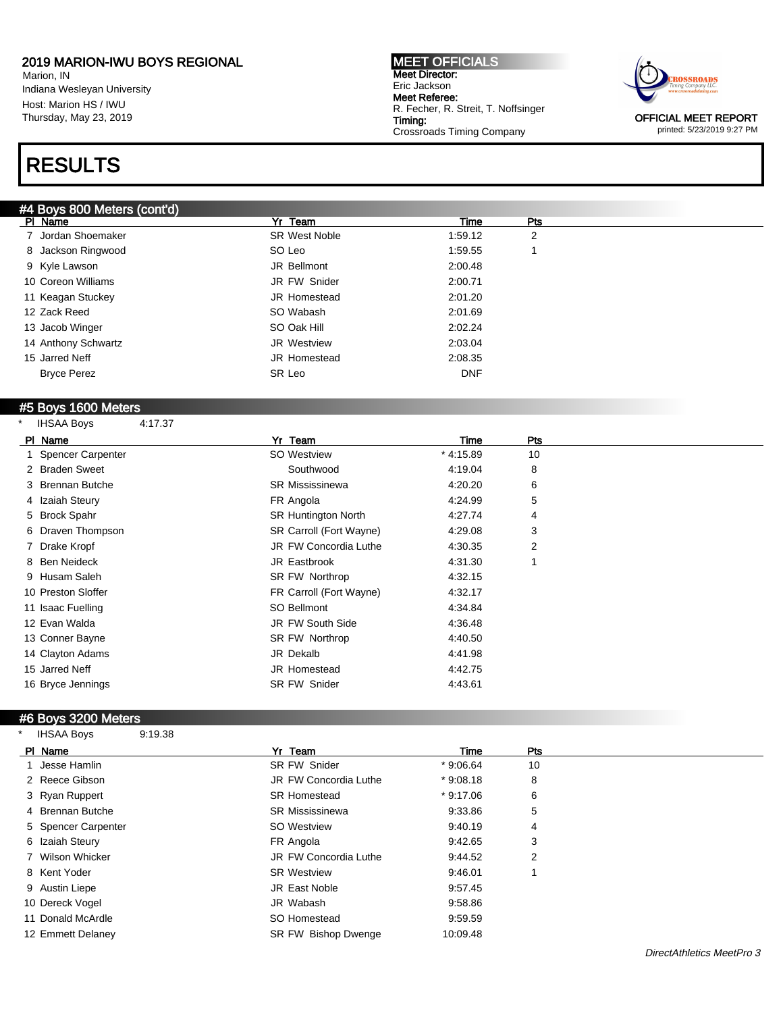Marion, IN Indiana Wesleyan University Host: Marion HS / IWU Thursday, May 23, 2019

# RESULTS

### #4 Boys 800 Meters (cont'd)

MEET OFFICIALS Meet Director: Eric Jackson Meet Referee: R. Fecher, R. Streit, T. Noffsinger Timing: Crossroads Timing Company



OFFICIAL MEET REPORT printed: 5/23/2019 9:27 PM

| #4 BOVS 800 Meters (cont'd) |                      |            |            |  |
|-----------------------------|----------------------|------------|------------|--|
| PI Name                     | Yr Team              | Time       | <b>Pts</b> |  |
| 7 Jordan Shoemaker          | <b>SR West Noble</b> | 1:59.12    | 2          |  |
| 8 Jackson Ringwood          | SO Leo               | 1:59.55    |            |  |
| 9 Kyle Lawson               | JR Bellmont          | 2:00.48    |            |  |
| 10 Coreon Williams          | JR FW Snider         | 2:00.71    |            |  |
| 11 Keagan Stuckey           | JR Homestead         | 2:01.20    |            |  |
| 12 Zack Reed                | SO Wabash            | 2:01.69    |            |  |
| 13 Jacob Winger             | SO Oak Hill          | 2:02.24    |            |  |
| 14 Anthony Schwartz         | JR Westview          | 2:03.04    |            |  |
| 15 Jarred Neff              | <b>JR Homestead</b>  | 2:08.35    |            |  |
| <b>Bryce Perez</b>          | SR Leo               | <b>DNF</b> |            |  |
|                             |                      |            |            |  |

#### #5 Boys 1600 Meters

| $\star$ | <b>IHSAA Boys</b>   | 4:17.37 |                            |            |                |
|---------|---------------------|---------|----------------------------|------------|----------------|
|         | PI Name             |         | Yr Team                    | Time       | Pts            |
|         | 1 Spencer Carpenter |         | SO Westview                | $*4:15.89$ | 10             |
|         | 2 Braden Sweet      |         | Southwood                  | 4:19.04    | 8              |
|         | 3 Brennan Butche    |         | <b>SR Mississinewa</b>     | 4:20.20    | 6              |
|         | 4 Izaiah Steury     |         | FR Angola                  | 4:24.99    | 5              |
|         | 5 Brock Spahr       |         | <b>SR Huntington North</b> | 4:27.74    | 4              |
|         | 6 Draven Thompson   |         | SR Carroll (Fort Wayne)    | 4:29.08    | 3              |
|         | 7 Drake Kropf       |         | JR FW Concordia Luthe      | 4:30.35    | $\overline{2}$ |
|         | 8 Ben Neideck       |         | JR Eastbrook               | 4:31.30    | 1              |
|         | 9 Husam Saleh       |         | SR FW Northrop             | 4:32.15    |                |
|         | 10 Preston Sloffer  |         | FR Carroll (Fort Wayne)    | 4:32.17    |                |
|         | 11 Isaac Fuelling   |         | SO Bellmont                | 4:34.84    |                |
|         | 12 Evan Walda       |         | JR FW South Side           | 4:36.48    |                |
|         | 13 Conner Bayne     |         | SR FW Northrop             | 4:40.50    |                |
|         | 14 Clayton Adams    |         | JR Dekalb                  | 4:41.98    |                |
|         | 15 Jarred Neff      |         | <b>JR Homestead</b>        | 4:42.75    |                |
|         | 16 Bryce Jennings   |         | <b>SR FW Snider</b>        | 4:43.61    |                |
|         |                     |         |                            |            |                |

#### #6 Boys 3200 Meters

\* IHSAA Boys 9:19.38

| PI Name             | Yr Team                      | Time       | Pts |  |
|---------------------|------------------------------|------------|-----|--|
| 1 Jesse Hamlin      | <b>SR FW Snider</b>          | $*9:06.64$ | 10  |  |
| 2 Reece Gibson      | <b>JR FW Concordia Luthe</b> | $*9:08.18$ | 8   |  |
| 3 Ryan Ruppert      | <b>SR Homestead</b>          | $*9:17.06$ | 6   |  |
| 4 Brennan Butche    | <b>SR Mississinewa</b>       | 9:33.86    | 5   |  |
| 5 Spencer Carpenter | SO Westview                  | 9:40.19    | 4   |  |
| 6 Izaiah Steury     | FR Angola                    | 9:42.65    | 3   |  |
| 7 Wilson Whicker    | JR FW Concordia Luthe        | 9:44.52    | 2   |  |
| 8 Kent Yoder        | <b>SR Westview</b>           | 9:46.01    |     |  |
| 9 Austin Liepe      | JR East Noble                | 9:57.45    |     |  |
| 10 Dereck Vogel     | JR Wabash                    | 9:58.86    |     |  |
| 11 Donald McArdle   | SO Homestead                 | 9:59.59    |     |  |
| 12 Emmett Delaney   | <b>SR FW Bishop Dwenge</b>   | 10:09.48   |     |  |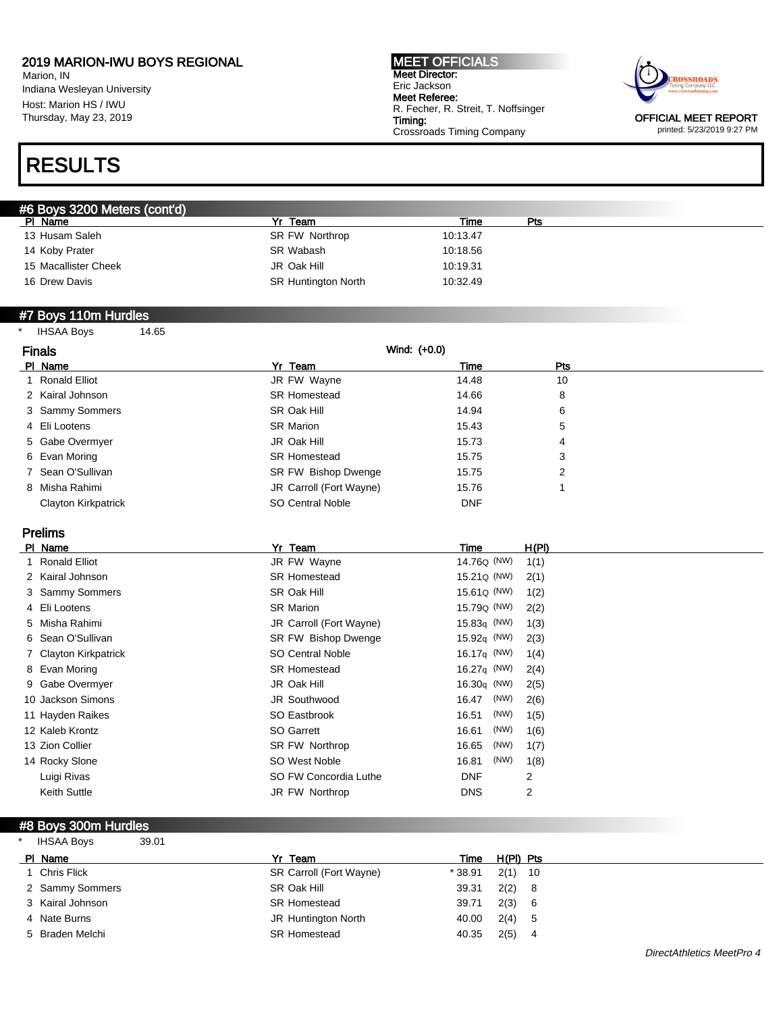Marion, IN Indiana Wesleyan University Host: Marion HS / IWU Thursday, May 23, 2019

# RESULTS

#### MEET OFFICIALS Meet Director: Eric Jackson Meet Referee: R. Fecher, R. Streit, T. Noffsinger Timing: Crossroads Timing Company



OFFICIAL MEET REPORT printed: 5/23/2019 9:27 PM

| #6 Boys 3200 Meters (cont'd) |                            |          |     |  |
|------------------------------|----------------------------|----------|-----|--|
| PI Name                      | Team<br>v <sub>r</sub>     | Time     | Pts |  |
| 13 Husam Saleh               | SR FW Northrop             | 10:13.47 |     |  |
| 14 Koby Prater               | SR Wabash                  | 10:18.56 |     |  |
| 15 Macallister Cheek         | JR Oak Hill                | 10:19.31 |     |  |
| 16 Drew Davis                | <b>SR Huntington North</b> | 10:32.49 |     |  |

#### #7 Boys 110m Hurdles

\* IHSAA Boys 14.65

| <b>Finals</b> |                     | Wind: (+0.0)            |            |     |
|---------------|---------------------|-------------------------|------------|-----|
|               | PI Name             | Yr Team                 | Time       | Pts |
|               | 1 Ronald Elliot     | JR FW Wayne             | 14.48      | 10  |
|               | 2 Kairal Johnson    | <b>SR Homestead</b>     | 14.66      | 8   |
|               | 3 Sammy Sommers     | SR Oak Hill             | 14.94      | 6   |
|               | 4 Eli Lootens       | <b>SR Marion</b>        | 15.43      | 5   |
|               | 5 Gabe Overmyer     | JR Oak Hill             | 15.73      | 4   |
|               | 6 Evan Moring       | <b>SR Homestead</b>     | 15.75      | 3   |
|               | 7 Sean O'Sullivan   | SR FW Bishop Dwenge     | 15.75      | 2   |
|               | 8 Misha Rahimi      | JR Carroll (Fort Wayne) | 15.76      |     |
|               | Clayton Kirkpatrick | SO Central Noble        | <b>DNF</b> |     |

Prelims

| PI Name               | Yr Team                    | Time                    | <u>H(PI)</u> |
|-----------------------|----------------------------|-------------------------|--------------|
| 1 Ronald Elliot       | JR FW Wayne                | 14.76Q (NW)             | 1(1)         |
| 2 Kairal Johnson      | <b>SR Homestead</b>        | 15.21 <sub>Q</sub> (NW) | 2(1)         |
| 3 Sammy Sommers       | SR Oak Hill                | 15.61Q (NW)             | 1(2)         |
| 4 Eli Lootens         | <b>SR Marion</b>           | 15.79 <sub>Q</sub> (NW) | 2(2)         |
| 5 Misha Rahimi        | JR Carroll (Fort Wayne)    | $15.83q$ (NW)           | 1(3)         |
| 6 Sean O'Sullivan     | <b>SR FW Bishop Dwenge</b> | 15.92 $q$ (NW)          | 2(3)         |
| 7 Clayton Kirkpatrick | <b>SO Central Noble</b>    | 16.17 $q$ (NW)          | 1(4)         |
| 8 Evan Moring         | <b>SR Homestead</b>        | 16.27 $q$ (NW)          | 2(4)         |
| 9 Gabe Overmyer       | JR Oak Hill                | 16.30 $q$ (NW)          | 2(5)         |
| 10 Jackson Simons     | JR Southwood               | (NW)<br>16.47           | 2(6)         |
| 11 Hayden Raikes      | SO Eastbrook               | (NW)<br>16.51           | 1(5)         |
| 12 Kaleb Krontz       | SO Garrett                 | (NW)<br>16.61           | 1(6)         |
| 13 Zion Collier       | SR FW Northrop             | (NW)<br>16.65           | 1(7)         |
| 14 Rocky Slone        | SO West Noble              | (NW)<br>16.81           | 1(8)         |
| Luigi Rivas           | SO FW Concordia Luthe      | <b>DNF</b>              | 2            |
| Keith Suttle          | JR FW Northrop             | <b>DNS</b>              | 2            |
|                       |                            |                         |              |

### #8 Boys 300m Hurdles

| $\ast$ | IHSAA Boys       | 39.01 |                         |         |           |     |
|--------|------------------|-------|-------------------------|---------|-----------|-----|
|        | PI Name          |       | Yr Team                 | Time    | H(PI) Pts |     |
|        | 1 Chris Flick    |       | SR Carroll (Fort Wayne) | * 38.91 | $2(1)$ 10 |     |
|        | 2 Sammy Sommers  |       | SR Oak Hill             | 39.31   | 2(2)      | - 8 |
|        | 3 Kairal Johnson |       | <b>SR Homestead</b>     | 39.71   | 2(3)      | - 6 |
|        | 4 Nate Burns     |       | JR Huntington North     | 40.00   | 2(4)      | - 5 |
|        | 5 Braden Melchi  |       | <b>SR Homestead</b>     | 40.35   | 2(5)      | 4   |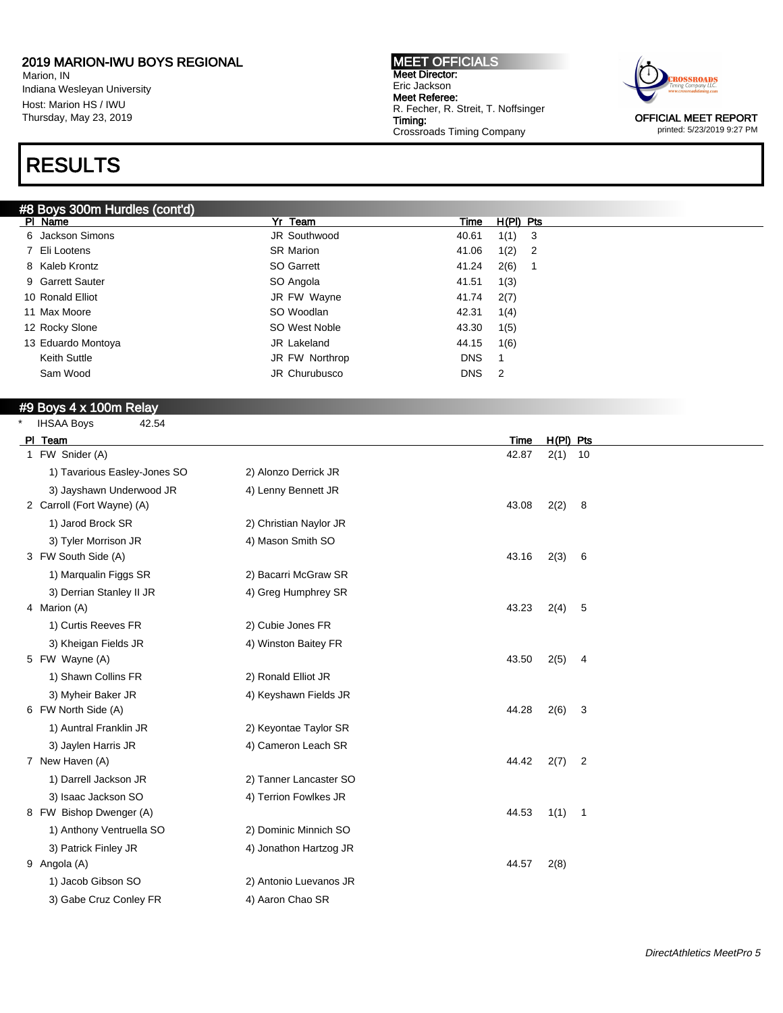Marion, IN Indiana Wesleyan University Host: Marion HS / IWU Thursday, May 23, 2019

# RESULTS

#### #8 Boys 300m Hurdles (cont'd)

MEET OFFICIALS Meet Director: Eric Jackson Meet Referee: R. Fecher, R. Streit, T. Noffsinger Timing: Crossroads Timing Company



printed: 5/23/2019 9:27 PM

| $\pi$ o Doys Journ Huldies (com u $\eta$ |                  |            |             |                            |
|------------------------------------------|------------------|------------|-------------|----------------------------|
| PI Name                                  | Yr Team          | Time       | $H(PI)$ Pts |                            |
| 6 Jackson Simons                         | JR Southwood     | 40.61      | 1(1)        | $\overline{\mathbf{3}}$    |
| 7 Eli Lootens                            | <b>SR Marion</b> | 41.06      | 1(2)        | $\overline{\phantom{0}}^2$ |
| 8 Kaleb Krontz                           | SO Garrett       | 41.24      | 2(6)        |                            |
| 9 Garrett Sauter                         | SO Angola        | 41.51      | 1(3)        |                            |
| 10 Ronald Elliot                         | JR FW Wayne      | 41.74      | 2(7)        |                            |
| 11 Max Moore                             | SO Woodlan       | 42.31      | 1(4)        |                            |
| 12 Rocky Slone                           | SO West Noble    | 43.30      | 1(5)        |                            |
| 13 Eduardo Montoya                       | JR Lakeland      | 44.15      | 1(6)        |                            |
| Keith Suttle                             | JR FW Northrop   | <b>DNS</b> |             |                            |
| Sam Wood                                 | JR Churubusco    | <b>DNS</b> | 2           |                            |
|                                          |                  |            |             |                            |

### #9 Boys 4 x 100m Relay

| $\star$ | 42.54<br><b>IHSAA Boys</b>   |                        |       |             |                |
|---------|------------------------------|------------------------|-------|-------------|----------------|
|         | PI Team                      |                        | Time  | $H(PI)$ Pts |                |
|         | 1 FW Snider (A)              |                        | 42.87 | $2(1)$ 10   |                |
|         | 1) Tavarious Easley-Jones SO | 2) Alonzo Derrick JR   |       |             |                |
|         | 3) Jayshawn Underwood JR     | 4) Lenny Bennett JR    |       |             |                |
|         | 2 Carroll (Fort Wayne) (A)   |                        | 43.08 | 2(2)        | 8              |
|         | 1) Jarod Brock SR            | 2) Christian Naylor JR |       |             |                |
|         | 3) Tyler Morrison JR         | 4) Mason Smith SO      |       |             |                |
|         | 3 FW South Side (A)          |                        | 43.16 | 2(3)        | 6              |
|         | 1) Marqualin Figgs SR        | 2) Bacarri McGraw SR   |       |             |                |
|         | 3) Derrian Stanley II JR     | 4) Greg Humphrey SR    |       |             |                |
|         | 4 Marion (A)                 |                        | 43.23 | 2(4)        | 5              |
|         | 1) Curtis Reeves FR          | 2) Cubie Jones FR      |       |             |                |
|         | 3) Kheigan Fields JR         | 4) Winston Baitey FR   |       |             |                |
|         | 5 FW Wayne (A)               |                        | 43.50 | 2(5)        | 4              |
|         | 1) Shawn Collins FR          | 2) Ronald Elliot JR    |       |             |                |
|         | 3) Myheir Baker JR           | 4) Keyshawn Fields JR  |       |             |                |
|         | 6 FW North Side (A)          |                        | 44.28 | 2(6)        | 3              |
|         | 1) Auntral Franklin JR       | 2) Keyontae Taylor SR  |       |             |                |
|         | 3) Jaylen Harris JR          | 4) Cameron Leach SR    |       |             |                |
|         | 7 New Haven (A)              |                        | 44.42 | 2(7)        | $\overline{2}$ |
|         | 1) Darrell Jackson JR        | 2) Tanner Lancaster SO |       |             |                |
|         | 3) Isaac Jackson SO          | 4) Terrion Fowlkes JR  |       |             |                |
|         | 8 FW Bishop Dwenger (A)      |                        | 44.53 | 1(1)        | $\overline{1}$ |
|         | 1) Anthony Ventruella SO     | 2) Dominic Minnich SO  |       |             |                |
|         | 3) Patrick Finley JR         | 4) Jonathon Hartzog JR |       |             |                |
|         | 9 Angola (A)                 |                        | 44.57 | 2(8)        |                |
|         | 1) Jacob Gibson SO           | 2) Antonio Luevanos JR |       |             |                |
|         | 3) Gabe Cruz Conley FR       | 4) Aaron Chao SR       |       |             |                |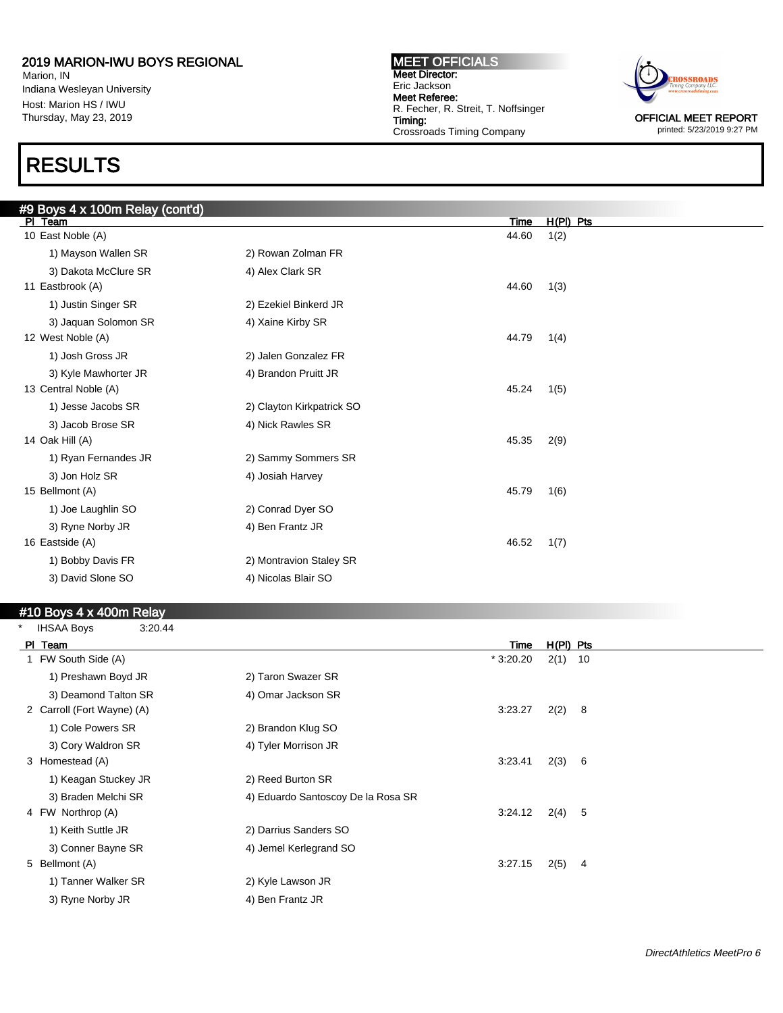Marion, IN Indiana Wesleyan University Host: Marion HS / IWU Thursday, May 23, 2019

## RESULTS

MEET OFFICIALS Meet Director: Eric Jackson Meet Referee: R. Fecher, R. Streit, T. Noffsinger Timing: Crossroads Timing Company



printed: 5/23/2019 9:27 PM

| #9 Boys 4 x 100m Relay (cont'd) |                           |       |             |  |
|---------------------------------|---------------------------|-------|-------------|--|
| PI Team                         |                           | Time  | $H(PI)$ Pts |  |
| 10 East Noble (A)               |                           | 44.60 | 1(2)        |  |
| 1) Mayson Wallen SR             | 2) Rowan Zolman FR        |       |             |  |
| 3) Dakota McClure SR            | 4) Alex Clark SR          |       |             |  |
| 11 Eastbrook (A)                |                           | 44.60 | 1(3)        |  |
| 1) Justin Singer SR             | 2) Ezekiel Binkerd JR     |       |             |  |
| 3) Jaquan Solomon SR            | 4) Xaine Kirby SR         |       |             |  |
| 12 West Noble (A)               |                           | 44.79 | 1(4)        |  |
| 1) Josh Gross JR                | 2) Jalen Gonzalez FR      |       |             |  |
| 3) Kyle Mawhorter JR            | 4) Brandon Pruitt JR      |       |             |  |
| 13 Central Noble (A)            |                           | 45.24 | 1(5)        |  |
| 1) Jesse Jacobs SR              | 2) Clayton Kirkpatrick SO |       |             |  |
| 3) Jacob Brose SR               | 4) Nick Rawles SR         |       |             |  |
| 14 Oak Hill (A)                 |                           | 45.35 | 2(9)        |  |
| 1) Ryan Fernandes JR            | 2) Sammy Sommers SR       |       |             |  |
| 3) Jon Holz SR                  | 4) Josiah Harvey          |       |             |  |
| 15 Bellmont (A)                 |                           | 45.79 | 1(6)        |  |
| 1) Joe Laughlin SO              | 2) Conrad Dyer SO         |       |             |  |
| 3) Ryne Norby JR                | 4) Ben Frantz JR          |       |             |  |
| 16 Eastside (A)                 |                           | 46.52 | 1(7)        |  |
| 1) Bobby Davis FR               | 2) Montravion Staley SR   |       |             |  |
| 3) David Slone SO               | 4) Nicolas Blair SO       |       |             |  |
|                                 |                           |       |             |  |

### $#10$  Boys 4 x 400m Relay

| $\star$ | <b>IHSAA Boys</b><br>3:20.44 |                                    |           |             |     |
|---------|------------------------------|------------------------------------|-----------|-------------|-----|
|         | PI Team                      |                                    | Time      | $H(PI)$ Pts |     |
|         | 1 FW South Side (A)          |                                    | * 3:20.20 | $2(1)$ 10   |     |
|         | 1) Preshawn Boyd JR          | 2) Taron Swazer SR                 |           |             |     |
|         | 3) Deamond Talton SR         | 4) Omar Jackson SR                 |           |             |     |
|         | 2 Carroll (Fort Wayne) (A)   |                                    | 3:23.27   | 2(2)        | - 8 |
|         | 1) Cole Powers SR            | 2) Brandon Klug SO                 |           |             |     |
|         | 3) Cory Waldron SR           | 4) Tyler Morrison JR               |           |             |     |
|         | 3 Homestead (A)              |                                    | 3:23.41   | 2(3)        | - 6 |
|         | 1) Keagan Stuckey JR         | 2) Reed Burton SR                  |           |             |     |
|         | 3) Braden Melchi SR          | 4) Eduardo Santoscoy De la Rosa SR |           |             |     |
|         | 4 FW Northrop (A)            |                                    | 3:24.12   | 2(4)        | -5  |
|         | 1) Keith Suttle JR           | 2) Darrius Sanders SO              |           |             |     |
|         | 3) Conner Bayne SR           | 4) Jemel Kerlegrand SO             |           |             |     |
|         | 5 Bellmont (A)               |                                    | 3:27.15   | 2(5)        | 4   |
|         | 1) Tanner Walker SR          | 2) Kyle Lawson JR                  |           |             |     |
|         | 3) Ryne Norby JR             | 4) Ben Frantz JR                   |           |             |     |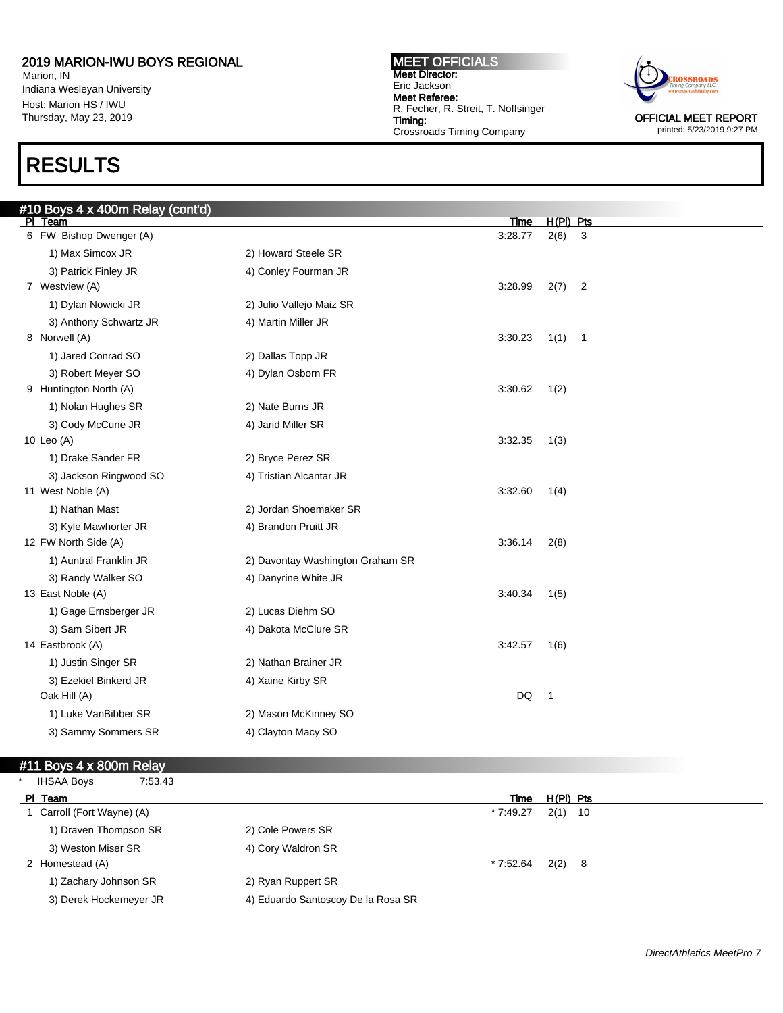Marion, IN Indiana Wesleyan University Host: Marion HS / IWU Thursday, May 23, 2019

## RESULTS

#### MEET OFFICIALS Meet Director: Eric Jackson Meet Referee: R. Fecher, R. Streit, T. Noffsinger Timing: Crossroads Timing Company



printed: 5/23/2019 9:27 PM

| #10 Boys 4 x 400m Relay (cont'd)   |                                  |                 |                     |                          |
|------------------------------------|----------------------------------|-----------------|---------------------|--------------------------|
| PI Team<br>6 FW Bishop Dwenger (A) |                                  | Time<br>3:28.77 | $H(PI)$ Pts<br>2(6) | 3                        |
| 1) Max Simcox JR                   | 2) Howard Steele SR              |                 |                     |                          |
| 3) Patrick Finley JR               | 4) Conley Fourman JR             |                 |                     |                          |
| 7 Westview (A)                     |                                  | 3:28.99         | 2(7)                | $\overline{2}$           |
| 1) Dylan Nowicki JR                | 2) Julio Vallejo Maiz SR         |                 |                     |                          |
| 3) Anthony Schwartz JR             | 4) Martin Miller JR              |                 |                     |                          |
| 8 Norwell (A)                      |                                  | 3:30.23         | 1(1)                | $\overline{\phantom{1}}$ |
| 1) Jared Conrad SO                 | 2) Dallas Topp JR                |                 |                     |                          |
| 3) Robert Meyer SO                 | 4) Dylan Osborn FR               |                 |                     |                          |
| 9 Huntington North (A)             |                                  | 3:30.62         | 1(2)                |                          |
| 1) Nolan Hughes SR                 | 2) Nate Burns JR                 |                 |                     |                          |
| 3) Cody McCune JR                  | 4) Jarid Miller SR               |                 |                     |                          |
| 10 Leo (A)                         |                                  | 3:32.35         | 1(3)                |                          |
| 1) Drake Sander FR                 | 2) Bryce Perez SR                |                 |                     |                          |
| 3) Jackson Ringwood SO             | 4) Tristian Alcantar JR          |                 |                     |                          |
| 11 West Noble (A)                  |                                  | 3:32.60         | 1(4)                |                          |
| 1) Nathan Mast                     | 2) Jordan Shoemaker SR           |                 |                     |                          |
| 3) Kyle Mawhorter JR               | 4) Brandon Pruitt JR             |                 |                     |                          |
| 12 FW North Side (A)               |                                  | 3:36.14         | 2(8)                |                          |
| 1) Auntral Franklin JR             | 2) Davontay Washington Graham SR |                 |                     |                          |
| 3) Randy Walker SO                 | 4) Danyrine White JR             |                 |                     |                          |
| 13 East Noble (A)                  |                                  | 3:40.34         | 1(5)                |                          |
| 1) Gage Ernsberger JR              | 2) Lucas Diehm SO                |                 |                     |                          |
| 3) Sam Sibert JR                   | 4) Dakota McClure SR             |                 |                     |                          |
| 14 Eastbrook (A)                   |                                  | 3:42.57         | 1(6)                |                          |
| 1) Justin Singer SR                | 2) Nathan Brainer JR             |                 |                     |                          |
| 3) Ezekiel Binkerd JR              | 4) Xaine Kirby SR                |                 |                     |                          |
| Oak Hill (A)                       |                                  | DQ              | $\mathbf{1}$        |                          |
| 1) Luke VanBibber SR               | 2) Mason McKinney SO             |                 |                     |                          |
| 3) Sammy Sommers SR                | 4) Clayton Macy SO               |                 |                     |                          |

### #11 Boys 4 x 800m Relay

| <b>IHSAA Boys</b><br>7:53.43 |                                    |
|------------------------------|------------------------------------|
| PI Team                      | $H(PI)$ Pts<br>Time                |
| 1 Carroll (Fort Wayne) (A)   | $*7:49.27$<br>$2(1)$ 10            |
| 1) Draven Thompson SR        | 2) Cole Powers SR                  |
| 3) Weston Miser SR           | 4) Cory Waldron SR                 |
| 2 Homestead (A)              | $2(2)$ 8<br>* 7:52.64              |
| 1) Zachary Johnson SR        | 2) Ryan Ruppert SR                 |
| 3) Derek Hockemeyer JR       | 4) Eduardo Santoscoy De la Rosa SR |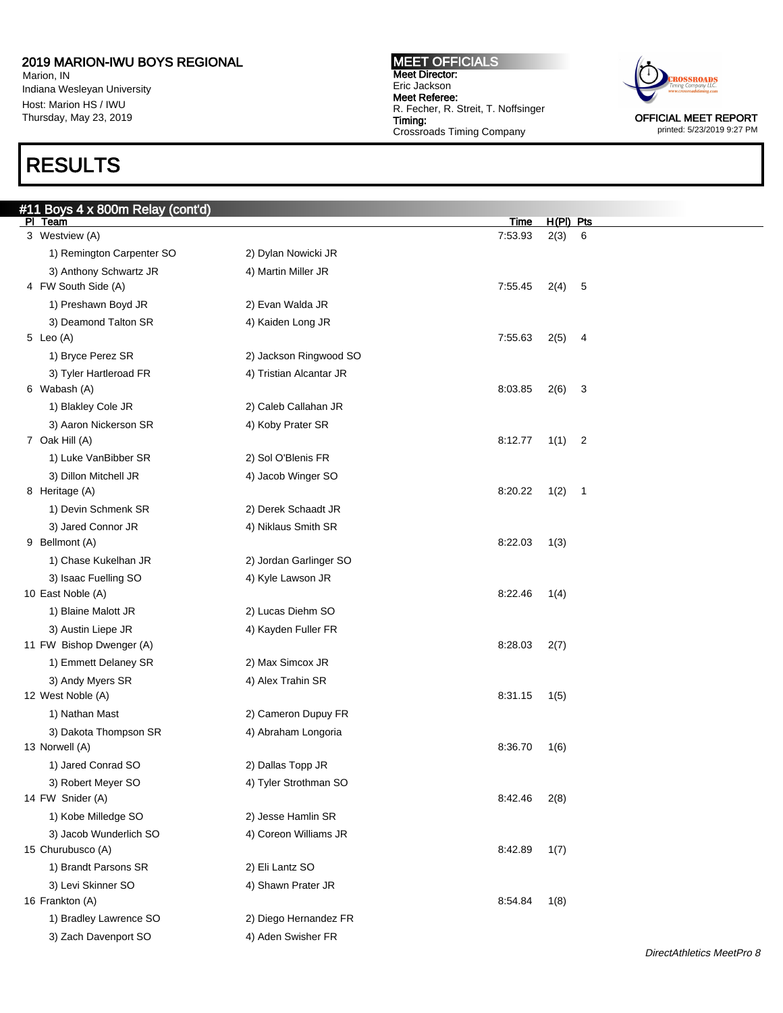Marion, IN Indiana Wesleyan University Host: Marion HS / IWU Thursday, May 23, 2019

## RESULTS

#### MEET OFFICIALS Meet Director: Eric Jackson Meet Referee: R. Fecher, R. Streit, T. Noffsinger Timing: Crossroads Timing Company



printed: 5/23/2019 9:27 PM

| $H(PI)$ Pts<br>PI Team<br>3 Westview (A)<br>7:53.93<br>2(3)<br>6<br>1) Remington Carpenter SO<br>2) Dylan Nowicki JR<br>3) Anthony Schwartz JR<br>4) Martin Miller JR<br>4 FW South Side (A)<br>7:55.45<br>2(4)<br>5<br>1) Preshawn Boyd JR<br>2) Evan Walda JR<br>3) Deamond Talton SR<br>4) Kaiden Long JR<br>5 Leo (A)<br>7:55.63<br>2(5)<br>4<br>1) Bryce Perez SR<br>2) Jackson Ringwood SO<br>3) Tyler Hartleroad FR<br>4) Tristian Alcantar JR<br>6 Wabash (A)<br>8:03.85<br>2(6)<br>3<br>1) Blakley Cole JR<br>2) Caleb Callahan JR<br>3) Aaron Nickerson SR<br>4) Koby Prater SR<br>7 Oak Hill (A)<br>8:12.77<br>1(1)<br>$\overline{2}$<br>1) Luke VanBibber SR<br>2) Sol O'Blenis FR<br>3) Dillon Mitchell JR<br>4) Jacob Winger SO<br>8 Heritage (A)<br>8:20.22<br>1(2)<br>$\overline{\mathbf{1}}$<br>1) Devin Schmenk SR<br>2) Derek Schaadt JR<br>3) Jared Connor JR<br>4) Niklaus Smith SR<br>9 Bellmont (A)<br>8:22.03<br>1(3)<br>1) Chase Kukelhan JR<br>2) Jordan Garlinger SO<br>3) Isaac Fuelling SO<br>4) Kyle Lawson JR<br>10 East Noble (A)<br>8:22.46<br>1(4)<br>1) Blaine Malott JR<br>2) Lucas Diehm SO<br>3) Austin Liepe JR<br>4) Kayden Fuller FR<br>11 FW Bishop Dwenger (A)<br>8:28.03<br>2(7)<br>1) Emmett Delaney SR<br>2) Max Simcox JR<br>4) Alex Trahin SR<br>3) Andy Myers SR<br>12 West Noble (A)<br>8:31.15<br>1(5)<br>1) Nathan Mast<br>2) Cameron Dupuy FR<br>3) Dakota Thompson SR<br>4) Abraham Longoria<br>13 Norwell (A)<br>8:36.70<br>1(6)<br>1) Jared Conrad SO<br>2) Dallas Topp JR<br>3) Robert Meyer SO<br>4) Tyler Strothman SO<br>14 FW Snider (A)<br>8:42.46<br>2(8)<br>1) Kobe Milledge SO<br>2) Jesse Hamlin SR<br>3) Jacob Wunderlich SO<br>4) Coreon Williams JR<br>15 Churubusco (A)<br>8:42.89<br>1(7) | #11 Boys 4 x 800m Relay (cont'd) |                 |             |  |
|------------------------------------------------------------------------------------------------------------------------------------------------------------------------------------------------------------------------------------------------------------------------------------------------------------------------------------------------------------------------------------------------------------------------------------------------------------------------------------------------------------------------------------------------------------------------------------------------------------------------------------------------------------------------------------------------------------------------------------------------------------------------------------------------------------------------------------------------------------------------------------------------------------------------------------------------------------------------------------------------------------------------------------------------------------------------------------------------------------------------------------------------------------------------------------------------------------------------------------------------------------------------------------------------------------------------------------------------------------------------------------------------------------------------------------------------------------------------------------------------------------------------------------------------------------------------------------------------------------------------------------------------------------------------------------------------------------------------------------------------------------------|----------------------------------|-----------------|-------------|--|
|                                                                                                                                                                                                                                                                                                                                                                                                                                                                                                                                                                                                                                                                                                                                                                                                                                                                                                                                                                                                                                                                                                                                                                                                                                                                                                                                                                                                                                                                                                                                                                                                                                                                                                                                                                  |                                  |                 | <b>Time</b> |  |
|                                                                                                                                                                                                                                                                                                                                                                                                                                                                                                                                                                                                                                                                                                                                                                                                                                                                                                                                                                                                                                                                                                                                                                                                                                                                                                                                                                                                                                                                                                                                                                                                                                                                                                                                                                  |                                  |                 |             |  |
|                                                                                                                                                                                                                                                                                                                                                                                                                                                                                                                                                                                                                                                                                                                                                                                                                                                                                                                                                                                                                                                                                                                                                                                                                                                                                                                                                                                                                                                                                                                                                                                                                                                                                                                                                                  |                                  |                 |             |  |
|                                                                                                                                                                                                                                                                                                                                                                                                                                                                                                                                                                                                                                                                                                                                                                                                                                                                                                                                                                                                                                                                                                                                                                                                                                                                                                                                                                                                                                                                                                                                                                                                                                                                                                                                                                  |                                  |                 |             |  |
|                                                                                                                                                                                                                                                                                                                                                                                                                                                                                                                                                                                                                                                                                                                                                                                                                                                                                                                                                                                                                                                                                                                                                                                                                                                                                                                                                                                                                                                                                                                                                                                                                                                                                                                                                                  |                                  |                 |             |  |
|                                                                                                                                                                                                                                                                                                                                                                                                                                                                                                                                                                                                                                                                                                                                                                                                                                                                                                                                                                                                                                                                                                                                                                                                                                                                                                                                                                                                                                                                                                                                                                                                                                                                                                                                                                  |                                  |                 |             |  |
|                                                                                                                                                                                                                                                                                                                                                                                                                                                                                                                                                                                                                                                                                                                                                                                                                                                                                                                                                                                                                                                                                                                                                                                                                                                                                                                                                                                                                                                                                                                                                                                                                                                                                                                                                                  |                                  |                 |             |  |
|                                                                                                                                                                                                                                                                                                                                                                                                                                                                                                                                                                                                                                                                                                                                                                                                                                                                                                                                                                                                                                                                                                                                                                                                                                                                                                                                                                                                                                                                                                                                                                                                                                                                                                                                                                  |                                  |                 |             |  |
|                                                                                                                                                                                                                                                                                                                                                                                                                                                                                                                                                                                                                                                                                                                                                                                                                                                                                                                                                                                                                                                                                                                                                                                                                                                                                                                                                                                                                                                                                                                                                                                                                                                                                                                                                                  |                                  |                 |             |  |
|                                                                                                                                                                                                                                                                                                                                                                                                                                                                                                                                                                                                                                                                                                                                                                                                                                                                                                                                                                                                                                                                                                                                                                                                                                                                                                                                                                                                                                                                                                                                                                                                                                                                                                                                                                  |                                  |                 |             |  |
|                                                                                                                                                                                                                                                                                                                                                                                                                                                                                                                                                                                                                                                                                                                                                                                                                                                                                                                                                                                                                                                                                                                                                                                                                                                                                                                                                                                                                                                                                                                                                                                                                                                                                                                                                                  |                                  |                 |             |  |
|                                                                                                                                                                                                                                                                                                                                                                                                                                                                                                                                                                                                                                                                                                                                                                                                                                                                                                                                                                                                                                                                                                                                                                                                                                                                                                                                                                                                                                                                                                                                                                                                                                                                                                                                                                  |                                  |                 |             |  |
|                                                                                                                                                                                                                                                                                                                                                                                                                                                                                                                                                                                                                                                                                                                                                                                                                                                                                                                                                                                                                                                                                                                                                                                                                                                                                                                                                                                                                                                                                                                                                                                                                                                                                                                                                                  |                                  |                 |             |  |
|                                                                                                                                                                                                                                                                                                                                                                                                                                                                                                                                                                                                                                                                                                                                                                                                                                                                                                                                                                                                                                                                                                                                                                                                                                                                                                                                                                                                                                                                                                                                                                                                                                                                                                                                                                  |                                  |                 |             |  |
|                                                                                                                                                                                                                                                                                                                                                                                                                                                                                                                                                                                                                                                                                                                                                                                                                                                                                                                                                                                                                                                                                                                                                                                                                                                                                                                                                                                                                                                                                                                                                                                                                                                                                                                                                                  |                                  |                 |             |  |
|                                                                                                                                                                                                                                                                                                                                                                                                                                                                                                                                                                                                                                                                                                                                                                                                                                                                                                                                                                                                                                                                                                                                                                                                                                                                                                                                                                                                                                                                                                                                                                                                                                                                                                                                                                  |                                  |                 |             |  |
|                                                                                                                                                                                                                                                                                                                                                                                                                                                                                                                                                                                                                                                                                                                                                                                                                                                                                                                                                                                                                                                                                                                                                                                                                                                                                                                                                                                                                                                                                                                                                                                                                                                                                                                                                                  |                                  |                 |             |  |
|                                                                                                                                                                                                                                                                                                                                                                                                                                                                                                                                                                                                                                                                                                                                                                                                                                                                                                                                                                                                                                                                                                                                                                                                                                                                                                                                                                                                                                                                                                                                                                                                                                                                                                                                                                  |                                  |                 |             |  |
|                                                                                                                                                                                                                                                                                                                                                                                                                                                                                                                                                                                                                                                                                                                                                                                                                                                                                                                                                                                                                                                                                                                                                                                                                                                                                                                                                                                                                                                                                                                                                                                                                                                                                                                                                                  |                                  |                 |             |  |
|                                                                                                                                                                                                                                                                                                                                                                                                                                                                                                                                                                                                                                                                                                                                                                                                                                                                                                                                                                                                                                                                                                                                                                                                                                                                                                                                                                                                                                                                                                                                                                                                                                                                                                                                                                  |                                  |                 |             |  |
|                                                                                                                                                                                                                                                                                                                                                                                                                                                                                                                                                                                                                                                                                                                                                                                                                                                                                                                                                                                                                                                                                                                                                                                                                                                                                                                                                                                                                                                                                                                                                                                                                                                                                                                                                                  |                                  |                 |             |  |
|                                                                                                                                                                                                                                                                                                                                                                                                                                                                                                                                                                                                                                                                                                                                                                                                                                                                                                                                                                                                                                                                                                                                                                                                                                                                                                                                                                                                                                                                                                                                                                                                                                                                                                                                                                  |                                  |                 |             |  |
|                                                                                                                                                                                                                                                                                                                                                                                                                                                                                                                                                                                                                                                                                                                                                                                                                                                                                                                                                                                                                                                                                                                                                                                                                                                                                                                                                                                                                                                                                                                                                                                                                                                                                                                                                                  |                                  |                 |             |  |
|                                                                                                                                                                                                                                                                                                                                                                                                                                                                                                                                                                                                                                                                                                                                                                                                                                                                                                                                                                                                                                                                                                                                                                                                                                                                                                                                                                                                                                                                                                                                                                                                                                                                                                                                                                  |                                  |                 |             |  |
|                                                                                                                                                                                                                                                                                                                                                                                                                                                                                                                                                                                                                                                                                                                                                                                                                                                                                                                                                                                                                                                                                                                                                                                                                                                                                                                                                                                                                                                                                                                                                                                                                                                                                                                                                                  |                                  |                 |             |  |
|                                                                                                                                                                                                                                                                                                                                                                                                                                                                                                                                                                                                                                                                                                                                                                                                                                                                                                                                                                                                                                                                                                                                                                                                                                                                                                                                                                                                                                                                                                                                                                                                                                                                                                                                                                  |                                  |                 |             |  |
|                                                                                                                                                                                                                                                                                                                                                                                                                                                                                                                                                                                                                                                                                                                                                                                                                                                                                                                                                                                                                                                                                                                                                                                                                                                                                                                                                                                                                                                                                                                                                                                                                                                                                                                                                                  |                                  |                 |             |  |
|                                                                                                                                                                                                                                                                                                                                                                                                                                                                                                                                                                                                                                                                                                                                                                                                                                                                                                                                                                                                                                                                                                                                                                                                                                                                                                                                                                                                                                                                                                                                                                                                                                                                                                                                                                  |                                  |                 |             |  |
|                                                                                                                                                                                                                                                                                                                                                                                                                                                                                                                                                                                                                                                                                                                                                                                                                                                                                                                                                                                                                                                                                                                                                                                                                                                                                                                                                                                                                                                                                                                                                                                                                                                                                                                                                                  |                                  |                 |             |  |
|                                                                                                                                                                                                                                                                                                                                                                                                                                                                                                                                                                                                                                                                                                                                                                                                                                                                                                                                                                                                                                                                                                                                                                                                                                                                                                                                                                                                                                                                                                                                                                                                                                                                                                                                                                  |                                  |                 |             |  |
|                                                                                                                                                                                                                                                                                                                                                                                                                                                                                                                                                                                                                                                                                                                                                                                                                                                                                                                                                                                                                                                                                                                                                                                                                                                                                                                                                                                                                                                                                                                                                                                                                                                                                                                                                                  |                                  |                 |             |  |
|                                                                                                                                                                                                                                                                                                                                                                                                                                                                                                                                                                                                                                                                                                                                                                                                                                                                                                                                                                                                                                                                                                                                                                                                                                                                                                                                                                                                                                                                                                                                                                                                                                                                                                                                                                  |                                  |                 |             |  |
|                                                                                                                                                                                                                                                                                                                                                                                                                                                                                                                                                                                                                                                                                                                                                                                                                                                                                                                                                                                                                                                                                                                                                                                                                                                                                                                                                                                                                                                                                                                                                                                                                                                                                                                                                                  |                                  |                 |             |  |
|                                                                                                                                                                                                                                                                                                                                                                                                                                                                                                                                                                                                                                                                                                                                                                                                                                                                                                                                                                                                                                                                                                                                                                                                                                                                                                                                                                                                                                                                                                                                                                                                                                                                                                                                                                  |                                  |                 |             |  |
|                                                                                                                                                                                                                                                                                                                                                                                                                                                                                                                                                                                                                                                                                                                                                                                                                                                                                                                                                                                                                                                                                                                                                                                                                                                                                                                                                                                                                                                                                                                                                                                                                                                                                                                                                                  |                                  |                 |             |  |
|                                                                                                                                                                                                                                                                                                                                                                                                                                                                                                                                                                                                                                                                                                                                                                                                                                                                                                                                                                                                                                                                                                                                                                                                                                                                                                                                                                                                                                                                                                                                                                                                                                                                                                                                                                  |                                  |                 |             |  |
|                                                                                                                                                                                                                                                                                                                                                                                                                                                                                                                                                                                                                                                                                                                                                                                                                                                                                                                                                                                                                                                                                                                                                                                                                                                                                                                                                                                                                                                                                                                                                                                                                                                                                                                                                                  |                                  |                 |             |  |
|                                                                                                                                                                                                                                                                                                                                                                                                                                                                                                                                                                                                                                                                                                                                                                                                                                                                                                                                                                                                                                                                                                                                                                                                                                                                                                                                                                                                                                                                                                                                                                                                                                                                                                                                                                  |                                  |                 |             |  |
|                                                                                                                                                                                                                                                                                                                                                                                                                                                                                                                                                                                                                                                                                                                                                                                                                                                                                                                                                                                                                                                                                                                                                                                                                                                                                                                                                                                                                                                                                                                                                                                                                                                                                                                                                                  | 1) Brandt Parsons SR             | 2) Eli Lantz SO |             |  |
| 3) Levi Skinner SO<br>4) Shawn Prater JR                                                                                                                                                                                                                                                                                                                                                                                                                                                                                                                                                                                                                                                                                                                                                                                                                                                                                                                                                                                                                                                                                                                                                                                                                                                                                                                                                                                                                                                                                                                                                                                                                                                                                                                         |                                  |                 |             |  |
| 16 Frankton (A)<br>8:54.84<br>1(8)                                                                                                                                                                                                                                                                                                                                                                                                                                                                                                                                                                                                                                                                                                                                                                                                                                                                                                                                                                                                                                                                                                                                                                                                                                                                                                                                                                                                                                                                                                                                                                                                                                                                                                                               |                                  |                 |             |  |
| 2) Diego Hernandez FR<br>1) Bradley Lawrence SO                                                                                                                                                                                                                                                                                                                                                                                                                                                                                                                                                                                                                                                                                                                                                                                                                                                                                                                                                                                                                                                                                                                                                                                                                                                                                                                                                                                                                                                                                                                                                                                                                                                                                                                  |                                  |                 |             |  |
| 3) Zach Davenport SO<br>4) Aden Swisher FR                                                                                                                                                                                                                                                                                                                                                                                                                                                                                                                                                                                                                                                                                                                                                                                                                                                                                                                                                                                                                                                                                                                                                                                                                                                                                                                                                                                                                                                                                                                                                                                                                                                                                                                       |                                  |                 |             |  |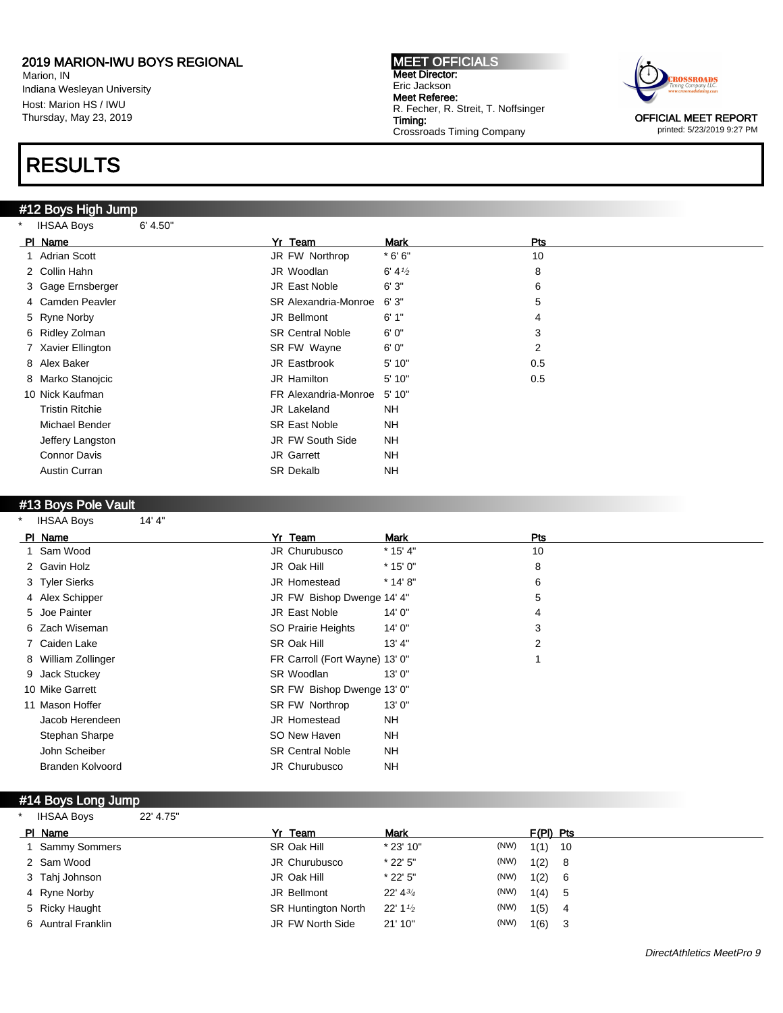Marion, IN Indiana Wesleyan University Host: Marion HS / IWU Thursday, May 23, 2019

### RESULTS

#12 Boys High Jump

MEET OFFICIALS Meet Director: Eric Jackson Meet Referee: R. Fecher, R. Streit, T. Noffsinger Timing: Crossroads Timing Company



printed: 5/23/2019 9:27 PM

| $\star$ | <b>IHSAA Boys</b><br>6' 4.50" |                             |                   |     |  |
|---------|-------------------------------|-----------------------------|-------------------|-----|--|
|         | PI Name                       | Yr Team                     | Mark              | Pts |  |
|         | 1 Adrian Scott                | JR FW Northrop              | $*6'6"$           | 10  |  |
|         | 2 Collin Hahn                 | JR Woodlan                  | $6' 4\frac{1}{2}$ | 8   |  |
|         | 3 Gage Ernsberger             | JR East Noble               | 6'3''             | 6   |  |
|         | 4 Camden Peavler              | <b>SR Alexandria-Monroe</b> | 6'3''             | 5   |  |
|         | 5 Ryne Norby                  | JR Bellmont                 | 6'1''             | 4   |  |
|         | 6 Ridley Zolman               | <b>SR Central Noble</b>     | 6'0''             | 3   |  |
|         | 7 Xavier Ellington            | SR FW Wayne                 | 6'0''             | 2   |  |
|         | 8 Alex Baker                  | JR Eastbrook                | 5' 10"            | 0.5 |  |
|         | 8 Marko Stanojcic             | JR Hamilton                 | 5'10"             | 0.5 |  |
|         | 10 Nick Kaufman               | FR Alexandria-Monroe        | 5'10"             |     |  |
|         | <b>Tristin Ritchie</b>        | JR Lakeland                 | NH                |     |  |
|         | Michael Bender                | <b>SR East Noble</b>        | <b>NH</b>         |     |  |
|         | Jeffery Langston              | JR FW South Side            | NH                |     |  |
|         | Connor Davis                  | JR Garrett                  | <b>NH</b>         |     |  |
|         | Austin Curran                 | <b>SR Dekalb</b>            | <b>NH</b>         |     |  |
|         |                               |                             |                   |     |  |

#### #13 Boys Pole Vault

\* IHSAA Boys 14' 4"

| PI Name             | Yr Team                        | Mark       | Pts |  |
|---------------------|--------------------------------|------------|-----|--|
| 1 Sam Wood          | JR Churubusco                  | $*$ 15' 4" | 10  |  |
| 2 Gavin Holz        | JR Oak Hill                    | $*$ 15' 0" | 8   |  |
| 3 Tyler Sierks      | <b>JR Homestead</b>            | $*$ 14' 8" | 6   |  |
| 4 Alex Schipper     | JR FW Bishop Dwenge 14' 4"     |            | 5   |  |
| 5 Joe Painter       | <b>JR East Noble</b>           | 14' 0"     | 4   |  |
| 6 Zach Wiseman      | SO Prairie Heights             | 14' 0"     | 3   |  |
| 7 Caiden Lake       | SR Oak Hill                    | 13' 4"     | 2   |  |
| 8 William Zollinger | FR Carroll (Fort Wayne) 13' 0" |            |     |  |
| 9 Jack Stuckey      | SR Woodlan                     | 13'0''     |     |  |
| 10 Mike Garrett     | SR FW Bishop Dwenge 13' 0"     |            |     |  |
| 11 Mason Hoffer     | SR FW Northrop                 | 13'0''     |     |  |
| Jacob Herendeen     | <b>JR Homestead</b>            | <b>NH</b>  |     |  |
| Stephan Sharpe      | SO New Haven                   | <b>NH</b>  |     |  |
| John Scheiber       | <b>SR Central Noble</b>        | NH         |     |  |
| Branden Kolvoord    | <b>JR Churubusco</b>           | <b>NH</b>  |     |  |

#### #14 Boys Long Jump

\* IHSAA Boys 22' 4.75"

| PI Name            | Yr Team                    | Mark                  |      | $F(PI)$ Pts |     |
|--------------------|----------------------------|-----------------------|------|-------------|-----|
| Sammy Sommers      | SR Oak Hill                | $*$ 23' 10"           | (NW) | $1(1)$ 10   |     |
| 2 Sam Wood         | JR Churubusco              | $*$ 22' 5"            | (NW) | 1(2)        | - 8 |
| 3 Tahj Johnson     | JR Oak Hill                | $*$ 22' 5"            | (NW) | 1(2)        | - 6 |
| 4 Ryne Norby       | JR Bellmont                | 22' 43'               | (NW) | 1(4) 5      |     |
| 5 Ricky Haught     | <b>SR Huntington North</b> | $22'$ 1 $\frac{1}{2}$ | (NW) | 1(5)        | - 4 |
| 6 Auntral Franklin | JR FW North Side           | 21' 10"               | (NW) | 1(6)        | 3   |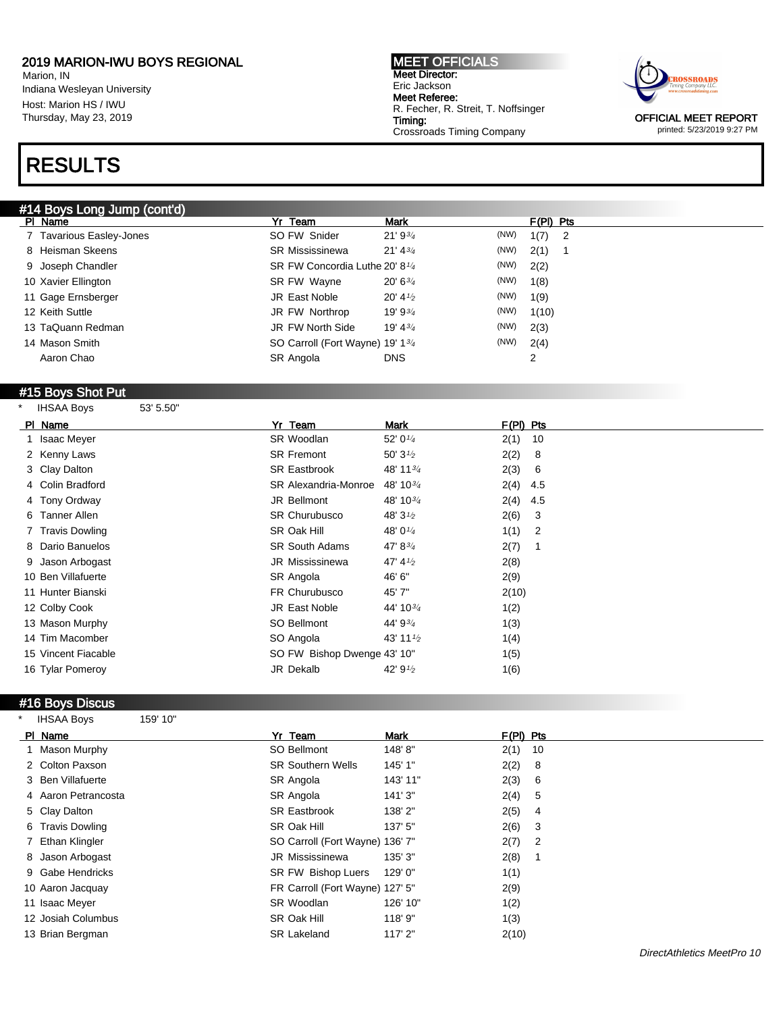Marion, IN Indiana Wesleyan University Host: Marion HS / IWU Thursday, May 23, 2019

# RESULTS

### #14 Boys Long Jump (cont'd)

MEET OFFICIALS Meet Director: Eric Jackson Meet Referee: R. Fecher, R. Streit, T. Noffsinger Timing: Crossroads Timing Company



printed: 5/23/2019 9:27 PM

| #14 BOVS LONG JUMP (CONTO) |                                            |                     |      |                                    |  |
|----------------------------|--------------------------------------------|---------------------|------|------------------------------------|--|
| PI Name                    | Yr Team                                    | <b>Mark</b>         |      | $F(PI)$ Pts                        |  |
| 7 Tavarious Easley-Jones   | SO FW Snider                               | $21'9^{3/4}$        | (NW) | 1(7)<br>$\overline{\phantom{0}}^2$ |  |
| 8 Heisman Skeens           | <b>SR Mississinewa</b>                     | $21' 4^{3/4}$       | (NW) | 2(1)                               |  |
| 9 Joseph Chandler          | SR FW Concordia Luthe 20' 8 <sup>1/4</sup> |                     | (NW) | 2(2)                               |  |
| 10 Xavier Ellington        | SR FW Wayne                                | $20' 6^{3/4}$       | (NW) | 1(8)                               |  |
| 11 Gage Ernsberger         | JR East Noble                              | 20' 4 $\frac{1}{2}$ | (NW) | 1(9)                               |  |
| 12 Keith Suttle            | JR FW Northrop                             | 19' 9 $\frac{3}{4}$ | (NW) | 1(10)                              |  |
| 13 TaQuann Redman          | JR FW North Side                           | 19' 4 $\frac{3}{4}$ | (NW) | 2(3)                               |  |
| 14 Mason Smith             | SO Carroll (Fort Wayne) 19' 134            |                     | (NW) | 2(4)                               |  |
| Aaron Chao                 | SR Angola                                  | <b>DNS</b>          |      | 2                                  |  |
|                            |                                            |                     |      |                                    |  |

### #15 Boys Shot Put

| <b>IHSAA Boys</b>   | 53' 5.50" |                             |                       |                                                                                                               |                |
|---------------------|-----------|-----------------------------|-----------------------|---------------------------------------------------------------------------------------------------------------|----------------|
| PI Name             |           | Yr Team                     | Mark                  | $F(PI)$ Pts                                                                                                   |                |
| 1 Isaac Meyer       |           | SR Woodlan                  | 52' $0\frac{1}{4}$    | 2(1)                                                                                                          | 10             |
| 2 Kenny Laws        |           | <b>SR Fremont</b>           | 50' $3\frac{1}{2}$    | 2(2)                                                                                                          | -8             |
| 3 Clay Dalton       |           | <b>SR Eastbrook</b>         | 48' 11 <sup>3/4</sup> | 2(3)                                                                                                          | - 6            |
| 4 Colin Bradford    |           | <b>SR Alexandria-Monroe</b> | 48' 10 <sup>3/4</sup> | $2(4)$ 4.5                                                                                                    |                |
| 4 Tony Ordway       |           | JR Bellmont                 |                       | 2(4)                                                                                                          | 4.5            |
| 6 Tanner Allen      |           | <b>SR Churubusco</b>        | 48' $3\frac{1}{2}$    | 2(6)                                                                                                          | 3              |
| 7 Travis Dowling    |           | SR Oak Hill                 | 48' 0 $\frac{1}{4}$   | 1(1)                                                                                                          | $\overline{2}$ |
| 8 Dario Banuelos    |           | <b>SR South Adams</b>       | 47' $8^{3/4}$         | 2(7)                                                                                                          |                |
| 9 Jason Arbogast    |           | JR Mississinewa             | 47' 4 $\frac{1}{2}$   | 2(8)                                                                                                          |                |
| 10 Ben Villafuerte  |           | SR Angola                   | 46' 6"                | 2(9)                                                                                                          |                |
| 11 Hunter Bianski   |           | FR Churubusco               | 45'7"                 | 2(10)                                                                                                         |                |
| 12 Colby Cook       |           | JR East Noble               |                       | 1(2)                                                                                                          |                |
| 13 Mason Murphy     |           | SO Bellmont                 |                       | 1(3)                                                                                                          |                |
| 14 Tim Macomber     |           | SO Angola                   | 43' 11%               | 1(4)                                                                                                          |                |
| 15 Vincent Fiacable |           |                             |                       | 1(5)                                                                                                          |                |
| 16 Tylar Pomeroy    |           | JR Dekalb                   |                       | 1(6)                                                                                                          |                |
|                     |           |                             |                       | 48' 10 $\frac{3}{4}$<br>44' 10 <sup>3/4</sup><br>44' 934<br>SO FW Bishop Dwenge 43' 10"<br>42' $9\frac{1}{2}$ |                |

#### #16 Boys Discus

| <b>IHSAA Boys</b>   | 159' 10" |                                 |          |             |      |
|---------------------|----------|---------------------------------|----------|-------------|------|
| PI Name             |          | Yr Team                         | Mark     | $F(PI)$ Pts |      |
| 1 Mason Murphy      |          | SO Bellmont                     | 148'8"   | $2(1)$ 10   |      |
| 2 Colton Paxson     |          | <b>SR Southern Wells</b>        | 145' 1"  | 2(2)        | - 8  |
| 3 Ben Villafuerte   |          | SR Angola                       | 143' 11" | 2(3)        | - 6  |
| 4 Aaron Petrancosta |          | SR Angola                       | 141'3''  | 2(4)        | $-5$ |
| 5 Clay Dalton       |          | <b>SR Eastbrook</b>             | 138' 2"  | 2(5)        | 4    |
| 6 Travis Dowling    |          | SR Oak Hill                     | 137' 5"  | 2(6)        | - 3  |
| 7 Ethan Klingler    |          | SO Carroll (Fort Wayne) 136' 7" |          | $2(7)$ 2    |      |
| 8 Jason Arbogast    |          | JR Mississinewa                 | 135' 3"  | 2(8)        |      |
| 9 Gabe Hendricks    |          | SR FW Bishop Luers              | 129' 0"  | 1(1)        |      |
| 10 Aaron Jacquay    |          | FR Carroll (Fort Wayne) 127' 5" |          | 2(9)        |      |
| 11 Isaac Meyer      |          | SR Woodlan                      | 126' 10" | 1(2)        |      |
| 12 Josiah Columbus  |          | SR Oak Hill                     | 118' 9"  | 1(3)        |      |
| 13 Brian Bergman    |          | <b>SR Lakeland</b>              | 117' 2"  | 2(10)       |      |